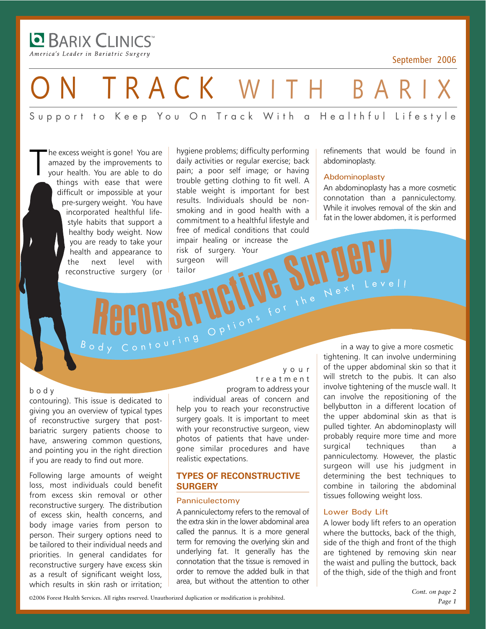**BARIX CLINICS** America's Leader in Bariatric Surgery

-

T

September 2006

## TRACK WITH BAR

Support to Keep You On Track With a Healthful Lifestyle

he excess weight is gone! You are amazed by the improvements to your health. You are able to do things with ease that were difficult or impossible at your pre-surgery weight. You have incorporated healthful lifestyle habits that support a healthy body weight. Now you are ready to take your health and appearance to the next level with reconstructive surgery (or

hygiene problems; difficulty performing daily activities or regular exercise; back pain; a poor self image; or having trouble getting clothing to fit well. A stable weight is important for best results. Individuals should be nonsmoking and in good health with a commitment to a healthful lifestyle and free of medical conditions that could impair healing or increase the risk of surgery. Your surgeon will tailor e ready to take your<br>and appearance to risk of surgery. Your<br>ructive surgery (or tailor<br>ructive surgery (or tailor<br>**Repearance of the surgeon will**<br> $\alpha$  is the Manual Manual Manual Manual Manual Manual Manual Manual Manual

refinements that would be found in abdominoplasty.

#### Abdominoplasty

An abdominoplasty has a more cosmetic connotation than a panniculectomy. While it involves removal of the skin and fat in the lower abdomen, it is performed

#### body

contouring). This issue is dedicated to giving you an overview of typical types of reconstructive surgery that postbariatric surgery patients choose to have, answering common questions, and pointing you in the right direction if you are ready to find out more.

Following large amounts of weight loss, most individuals could benefit from excess skin removal or other reconstructive surgery. The distribution of excess skin, health concerns, and body image varies from person to person. Their surgery options need to be tailored to their individual needs and priorities. In general candidates for reconstructive surgery have excess skin as a result of significant weight loss, which results in skin rash or irritation;

your treatment program to address your

individual areas of concern and help you to reach your reconstructive surgery goals. It is important to meet with your reconstructive surgeon, view photos of patients that have undergone similar procedures and have realistic expectations.

#### **TYPES OF RECONSTRUCTIVE SURGERY**

#### Panniculectomy

A panniculectomy refers to the removal of the extra skin in the lower abdominal area called the pannus. It is a more general term for removing the overlying skin and underlying fat. It generally has the connotation that the tissue is removed in order to remove the added bulk in that area, but without the attention to other

in a way to give a more cosmetic tightening. It can involve undermining of the upper abdominal skin so that it will stretch to the pubis. It can also involve tightening of the muscle wall. It can involve the repositioning of the bellybutton in a different location of the upper abdominal skin as that is pulled tighter. An abdominoplasty will probably require more time and more surgical techniques than a panniculectomy. However, the plastic surgeon will use his judgment in determining the best techniques to combine in tailoring the abdominal tissues following weight loss. B O O N S IT UCIUS TO THE NEXT LEVEL!

#### Lower Body Lift

A lower body lift refers to an operation where the buttocks, back of the thigh, side of the thigh and front of the thigh are tightened by removing skin near the waist and pulling the buttock, back of the thigh, side of the thigh and front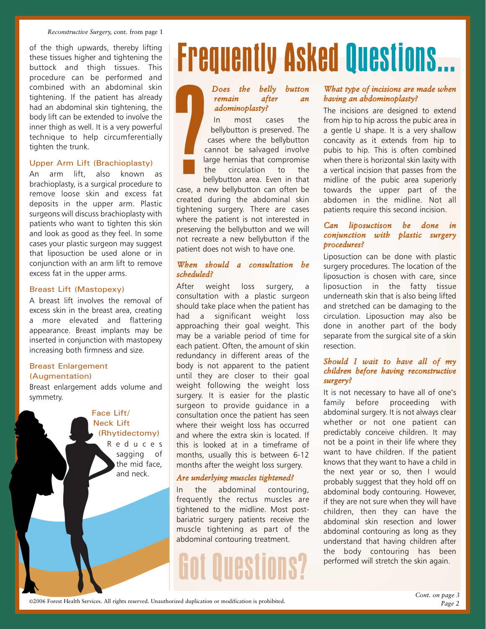of the thigh upwards, thereby lifting these tissues higher and tightening the buttock and thigh tissues. This procedure can be performed and combined with an abdominal skin tightening. If the patient has already had an abdominal skin tightening, the body lift can be extended to involve the inner thigh as well. It is a very powerful technique to help circumferentially tighten the trunk.

#### Upper Arm Lift (Brachioplasty)

An arm lift, also known as brachioplasty, is a surgical procedure to remove loose skin and excess fat deposits in the upper arm. Plastic surgeons will discuss brachioplasty with patients who want to tighten this skin and look as good as they feel. In some cases your plastic surgeon may suggest that liposuction be used alone or in conjunction with an arm lift to remove excess fat in the upper arms.

#### Breast Lift (Mastopexy)

A breast lift involves the removal of excess skin in the breast area, creating a more elevated and flattering appearance. Breast implants may be inserted in conjunction with mastopexy increasing both firmness and size.

#### Breast Enlargement (Augmentation)

Breast enlargement adds volume and symmetry.

#### Face Lift/ Neck Lift (Rhytidectomy)

Reduces sagging of the mid face, and neck.

# Frequently Asked Questions...

#### *Does the belly button remain after an adominoplasty?*

In most cases the bellybutton is preserved. The cases where the bellybutton cannot be salvaged involve large hernias that compromise the circulation to the bellybutton area. Even in that ?

case, a new bellybutton can often be created during the abdominal skin tightening surgery. There are cases where the patient is not interested in preserving the bellybutton and we will not recreate a new bellybutton if the patient does not wish to have one.

#### *When should a consultation be scheduled?*

After weight loss surgery, a consultation with a plastic surgeon should take place when the patient has had a significant weight loss approaching their goal weight. This may be a variable period of time for each patient. Often, the amount of skin redundancy in different areas of the body is not apparent to the patient until they are closer to their goal weight following the weight loss surgery. It is easier for the plastic surgeon to provide guidance in a consultation once the patient has seen where their weight loss has occurred and where the extra skin is located. If this is looked at in a timeframe of months, usually this is between 6-12 months after the weight loss surgery.

#### *Are underlying muscles tightened?*

In the abdominal contouring, frequently the rectus muscles are tightened to the midline. Most postbariatric surgery patients receive the muscle tightening as part of the abdominal contouring treatment.

## Got Questions?

#### *What type of incisions are made when having an abdominoplasty?*

The incisions are designed to extend from hip to hip across the pubic area in a gentle U shape. It is a very shallow concavity as it extends from hip to pubis to hip. This is often combined when there is horizontal skin laxity with a vertical incision that passes from the midline of the pubic area superiorly towards the upper part of the abdomen in the midline. Not all patients require this second incision.

#### *Can liposuctison be done in conjunction with plastic surgery procedures?*

Liposuction can be done with plastic surgery procedures. The location of the liposuction is chosen with care, since liposuction in the fatty tissue underneath skin that is also being lifted and stretched can be damaging to the circulation. Liposuction may also be done in another part of the body separate from the surgical site of a skin resection.

#### *Should I wait to have all of my children before having reconstructive surgery?*

It is not necessary to have all of one's family before proceeding with abdominal surgery. It is not always clear whether or not one patient can predictably conceive children. It may not be a point in their life where they want to have children. If the patient knows that they want to have a child in the next year or so, then I would probably suggest that they hold off on abdominal body contouring. However, if they are not sure when they will have children, then they can have the abdominal skin resection and lower abdominal contouring as long as they understand that having children after the body contouring has been performed will stretch the skin again.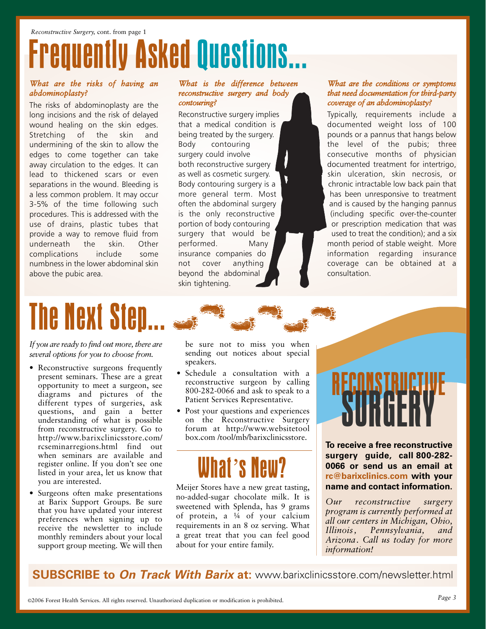# **rently Asked Questions...**

#### *What are the risks of having an abdominoplasty?*

The risks of abdominoplasty are the long incisions and the risk of delayed wound healing on the skin edges. Stretching of the skin and undermining of the skin to allow the edges to come together can take away circulation to the edges. It can lead to thickened scars or even separations in the wound. Bleeding is a less common problem. It may occur 3-5% of the time following such procedures. This is addressed with the use of drains, plastic tubes that provide a way to remove fluid from underneath the skin. Other complications include some numbness in the lower abdominal skin above the pubic area.

#### *What is the difference between reconstructive surgery and body contouring?*

Reconstructive surgery implies that a medical condition is being treated by the surgery. Body contouring surgery could involve both reconstructive surgery as well as cosmetic surgery. Body contouring surgery is a more general term. Most often the abdominal surgery is the only reconstructive portion of body contouring surgery that would be performed. Many insurance companies do not cover anything beyond the abdominal skin tightening.

#### *What are the conditions or symptoms that need documentation for third-party coverage of an abdominoplasty?*

Typically, requirements include a documented weight loss of 100 pounds or a pannus that hangs below the level of the pubis; three consecutive months of physician documented treatment for intertrigo, skin ulceration, skin necrosis, or chronic intractable low back pain that has been unresponsive to treatment and is caused by the hanging pannus (including specific over-the-counter or prescription medication that was used to treat the condition); and a six month period of stable weight. More information regarding insurance coverage can be obtained at a consultation.

# The Next Step...

*If you are ready to find out more, there are several options for you to choose from.* 

- Reconstructive surgeons frequently present seminars. These are a great opportunity to meet a surgeon, see diagrams and pictures of the different types of surgeries, ask questions, and gain a better understanding of what is possible from reconstructive surgery. Go to http://www.barixclinicsstore.com/ rcseminarregions.html find out when seminars are available and register online. If you don't see one listed in your area, let us know that you are interested.
- Surgeons often make presentations at Barix Support Groups. Be sure that you have updated your interest preferences when signing up to receive the newsletter to include monthly reminders about your local support group meeting. We will then

be sure not to miss you when sending out notices about special speakers.

- Schedule a consultation with a reconstructive surgeon by calling 800-282-0066 and ask to speak to a Patient Services Representative.
- Post your questions and experiences on the Reconstructive Surgery forum at http://www.websitetool box.com /tool/mb/barixclinicsstore.

## What's Neu

Meijer Stores have a new great tasting, no-added-sugar chocolate milk. It is sweetened with Splenda, has 9 grams of protein, a ¼ of your calcium requirements in an 8 oz serving. What a great treat that you can feel good about for your entire family.

# RECONSTRUCTIVE<br>SURGERY

**To receive a free reconstructive** surgery guide, call 800-282-**0066 or send us an email at rc@barixclinics.com with your name and contact information.**

*Our reconstructive surgery program is currently performed at all our centers in Michigan, Ohio, Illinois, Pennsylvania, and Arizona. Call us today for more information!*

**SUBSCRIBE to On Track With Barix at:** www.barixclinicsstore.com/newsletter.html